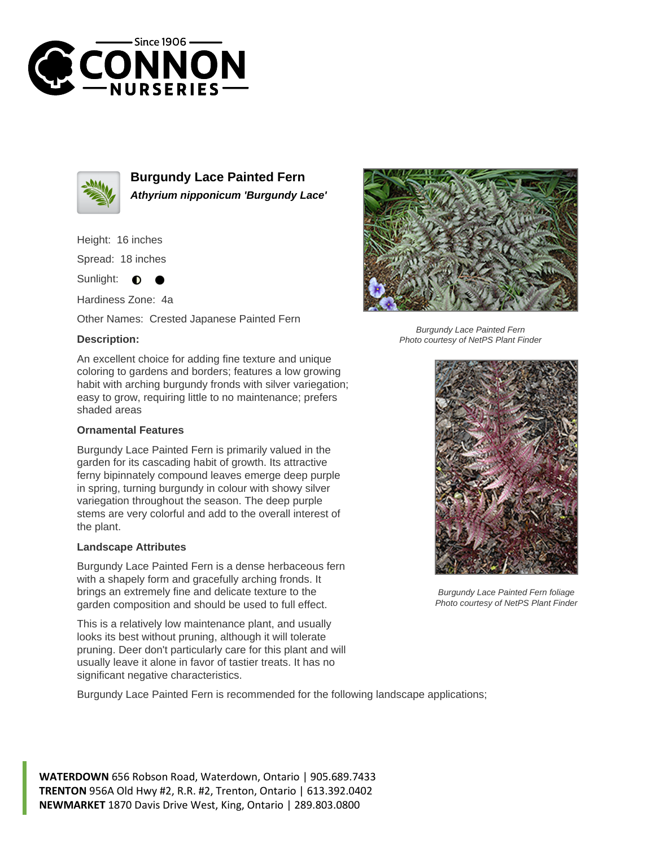



**Burgundy Lace Painted Fern Athyrium nipponicum 'Burgundy Lace'**

Height: 16 inches

Spread: 18 inches

Sunlight:  $\bullet$ 

Hardiness Zone: 4a

Other Names: Crested Japanese Painted Fern

## **Description:**

An excellent choice for adding fine texture and unique coloring to gardens and borders; features a low growing habit with arching burgundy fronds with silver variegation; easy to grow, requiring little to no maintenance; prefers shaded areas

## **Ornamental Features**

Burgundy Lace Painted Fern is primarily valued in the garden for its cascading habit of growth. Its attractive ferny bipinnately compound leaves emerge deep purple in spring, turning burgundy in colour with showy silver variegation throughout the season. The deep purple stems are very colorful and add to the overall interest of the plant.

## **Landscape Attributes**

Burgundy Lace Painted Fern is a dense herbaceous fern with a shapely form and gracefully arching fronds. It brings an extremely fine and delicate texture to the garden composition and should be used to full effect.

This is a relatively low maintenance plant, and usually looks its best without pruning, although it will tolerate pruning. Deer don't particularly care for this plant and will usually leave it alone in favor of tastier treats. It has no significant negative characteristics.

Burgundy Lace Painted Fern is recommended for the following landscape applications;



Burgundy Lace Painted Fern Photo courtesy of NetPS Plant Finder



Burgundy Lace Painted Fern foliage Photo courtesy of NetPS Plant Finder

**WATERDOWN** 656 Robson Road, Waterdown, Ontario | 905.689.7433 **TRENTON** 956A Old Hwy #2, R.R. #2, Trenton, Ontario | 613.392.0402 **NEWMARKET** 1870 Davis Drive West, King, Ontario | 289.803.0800